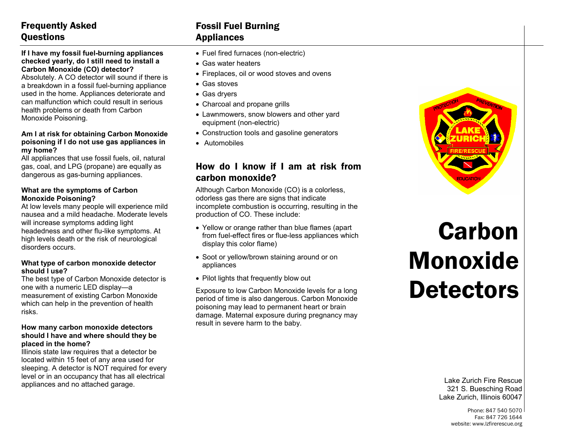## Frequently Asked **Ouestions**

#### **If I have my fossil fuel-burning appliances checked yearly, do I still need to install a Carbon Monoxide (CO) detector?**

Absolutely. A CO detector will sound if there is a breakdown in a fossil fuel-burning appliance used in the home. Appliances deteriorate and can malfunction which could result in serious health problems or death from Carbon Monoxide Poisoning.

#### **Am I at risk for obtaining Carbon Monoxide poisoning if I do not use gas appliances in my home?**

All appliances that use fossil fuels, oil, natural gas, coal, and LPG (propane) are equally as dangerous as gas-burning appliances.

#### **What are the symptoms of Carbon Monoxide Poisoning?**

At low levels many people will experience mild nausea and a mild headache. Moderate levels will increase symptoms adding light headedness and other flu-like symptoms. At high levels death or the risk of neurological disorders occurs.

#### **What type of carbon monoxide detector should I use?**

The best type of Carbon Monoxide detector is one with a numeric LED display—a measurement of existing Carbon Monoxide which can help in the prevention of health risks.

#### **How many carbon monoxide detectors should I have and where should they be placed in the home?**

Illinois state law requires that a detector be located within 15 feet of any area used for sleeping. A detector is NOT required for every level or in an occupancy that has all electrical appliances and no attached garage.

## Fossil Fuel Burning Appliances

- Fuel fired furnaces (non-electric)
- Gas water heaters
- Fireplaces, oil or wood stoves and ovens
- Gas stoves
- Gas dryers
- Charcoal and propane grills
- Lawnmowers, snow blowers and other yard equipment (non-electric)
- Construction tools and gasoline generators
- Automobiles

### How do I know if I am at risk from carbon monoxide?

Although Carbon Monoxide (CO) is a colorless, odorless gas there are signs that indicate incomplete combustion is occurring, resulting in the production of CO. These include:

- Yellow or orange rather than blue flames (apart from fuel-effect fires or flue-less appliances which display this color flame)
- Soot or yellow/brown staining around or on appliances
- Pilot lights that frequently blow out

Exposure to low Carbon Monoxide levels for a long period of time is also dangerous. Carbon Monoxide poisoning may lead to permanent heart or brain damage. Maternal exposure during pregnancy may result in severe harm to the baby.



# Carbon Monoxide **Detectors**

Lake Zurich Fire Rescue 321 S. Buesching Road Lake Zurich, Illinois 60047

> Phone: 847 540 5070 Fax: 847 726 1644 website: www.lzfirerescue.org